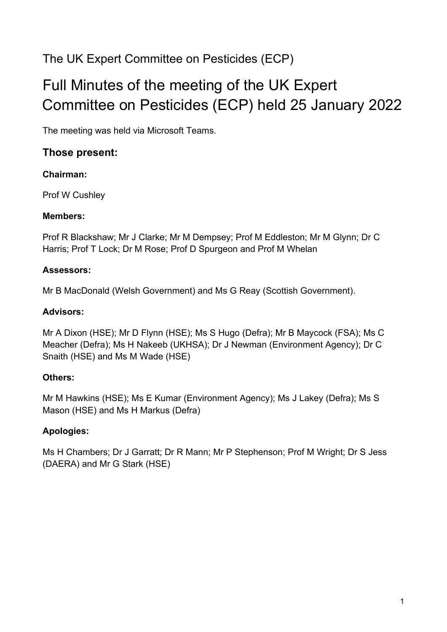## The UK Expert Committee on Pesticides (ECP)

# Full Minutes of the meeting of the UK Expert Committee on Pesticides (ECP) held 25 January 2022

The meeting was held via Microsoft Teams.

## **Those present:**

## **Chairman:**

Prof W Cushley

## **Members:**

Prof R Blackshaw; Mr J Clarke; Mr M Dempsey; Prof M Eddleston; Mr M Glynn; Dr C Harris; Prof T Lock; Dr M Rose; Prof D Spurgeon and Prof M Whelan

## **Assessors:**

Mr B MacDonald (Welsh Government) and Ms G Reay (Scottish Government).

#### **Advisors:**

Mr A Dixon (HSE); Mr D Flynn (HSE); Ms S Hugo (Defra); Mr B Maycock (FSA); Ms C Meacher (Defra); Ms H Nakeeb (UKHSA); Dr J Newman (Environment Agency); Dr C Snaith (HSE) and Ms M Wade (HSE)

## **Others:**

Mr M Hawkins (HSE); Ms E Kumar (Environment Agency); Ms J Lakey (Defra); Ms S Mason (HSE) and Ms H Markus (Defra)

## **Apologies:**

Ms H Chambers; Dr J Garratt; Dr R Mann; Mr P Stephenson; Prof M Wright; Dr S Jess (DAERA) and Mr G Stark (HSE)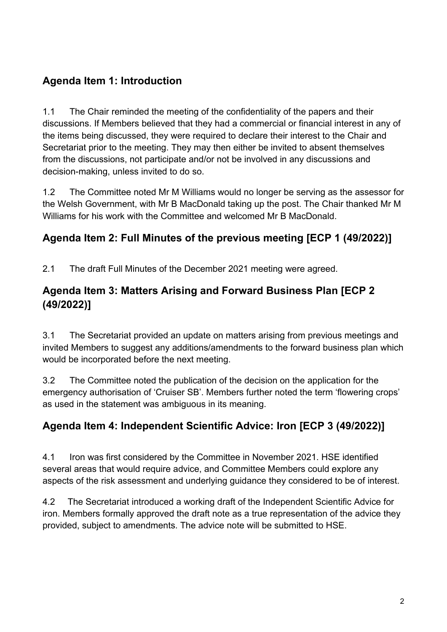## **Agenda Item 1: Introduction**

1.1 The Chair reminded the meeting of the confidentiality of the papers and their discussions. If Members believed that they had a commercial or financial interest in any of the items being discussed, they were required to declare their interest to the Chair and Secretariat prior to the meeting. They may then either be invited to absent themselves from the discussions, not participate and/or not be involved in any discussions and decision-making, unless invited to do so.

1.2 The Committee noted Mr M Williams would no longer be serving as the assessor for the Welsh Government, with Mr B MacDonald taking up the post. The Chair thanked Mr M Williams for his work with the Committee and welcomed Mr B MacDonald.

## **Agenda Item 2: Full Minutes of the previous meeting [ECP 1 (49/2022)]**

2.1 The draft Full Minutes of the December 2021 meeting were agreed.

## **Agenda Item 3: Matters Arising and Forward Business Plan [ECP 2 (49/2022)]**

3.1 The Secretariat provided an update on matters arising from previous meetings and invited Members to suggest any additions/amendments to the forward business plan which would be incorporated before the next meeting.

3.2 The Committee noted the publication of the decision on the application for the emergency authorisation of 'Cruiser SB'. Members further noted the term 'flowering crops' as used in the statement was ambiguous in its meaning.

## **Agenda Item 4: Independent Scientific Advice: Iron [ECP 3 (49/2022)]**

4.1 Iron was first considered by the Committee in November 2021. HSE identified several areas that would require advice, and Committee Members could explore any aspects of the risk assessment and underlying guidance they considered to be of interest.

4.2 The Secretariat introduced a working draft of the Independent Scientific Advice for iron. Members formally approved the draft note as a true representation of the advice they provided, subject to amendments. The advice note will be submitted to HSE.